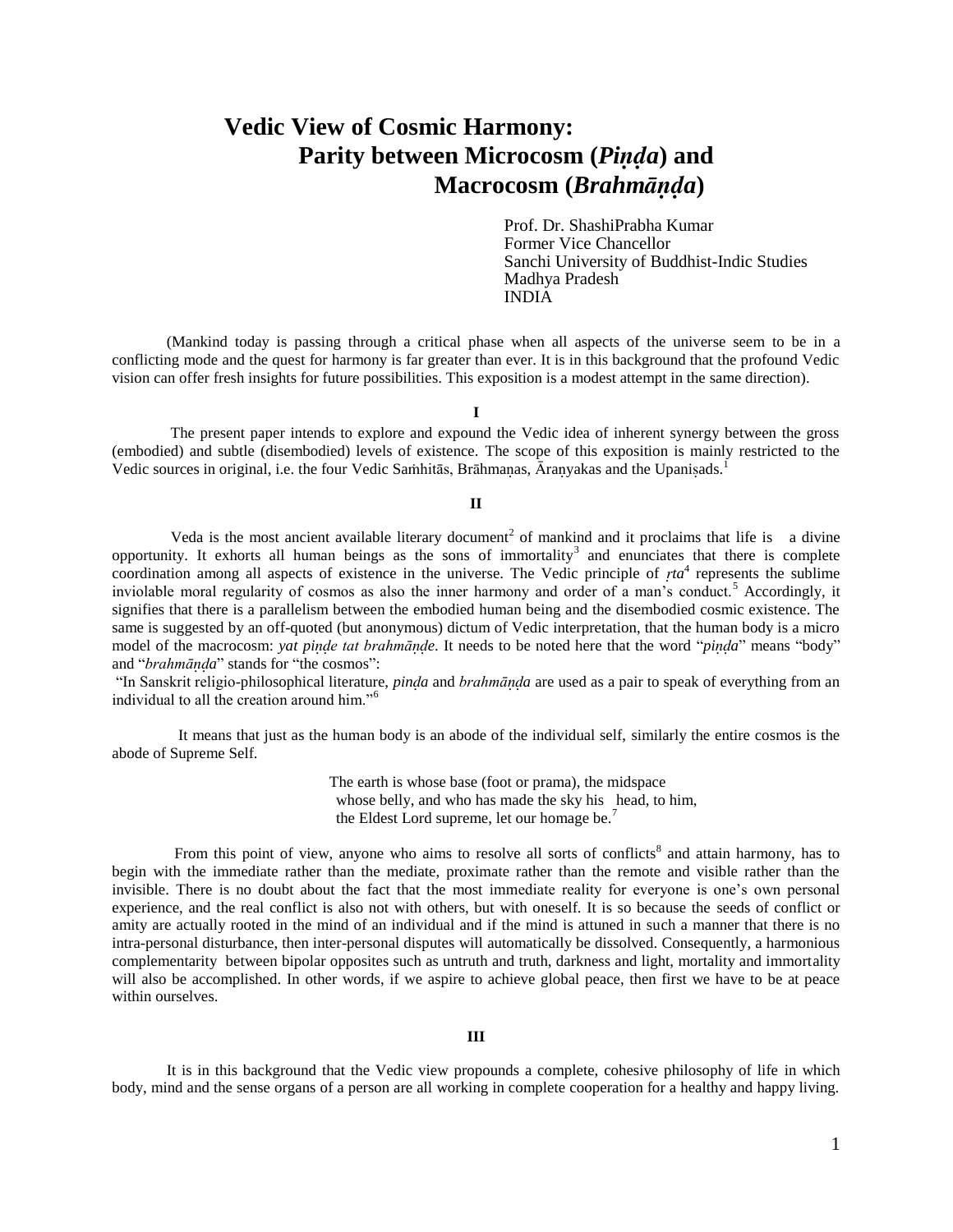# **Vedic View of Cosmic Harmony: Parity between Microcosm (***Pia***) and Macrocosm (***Brahma***)**

Prof. Dr. ShashiPrabha Kumar Former Vice Chancellor Sanchi University of Buddhist-Indic Studies Madhya Pradesh INDIA

 (Mankind today is passing through a critical phase when all aspects of the universe seem to be in a conflicting mode and the quest for harmony is far greater than ever. It is in this background that the profound Vedic vision can offer fresh insights for future possibilities. This exposition is a modest attempt in the same direction).

**I**

 The present paper intends to explore and expound the Vedic idea of inherent synergy between the gross (embodied) and subtle (disembodied) levels of existence. The scope of this exposition is mainly restricted to the Vedic sources in original, i.e. the four Vedic Samhitās, Brāhmanas,  $\bar{A}$ ranyakas and the Upanisads.<sup>1</sup>

### **II**

Veda is the most ancient available literary document<sup>2</sup> of mankind and it proclaims that life is a divine opportunity. It exhorts all human beings as the sons of immortality<sup>3</sup> and enunciates that there is complete coordination among all aspects of existence in the universe. The Vedic principle of *ta*<sup>4</sup> represents the sublime inviolable moral regularity of cosmos as also the inner harmony and order of a man's conduct.<sup>5</sup> Accordingly, it signifies that there is a parallelism between the embodied human being and the disembodied cosmic existence. The same is suggested by an off-quoted (but anonymous) dictum of Vedic interpretation, that the human body is a micro model of the macrocosm: *yat pinde tat brahmānde*. It needs to be noted here that the word "*pinda*" means "body" and "*brahmāa*" stands for "the cosmos":

"In Sanskrit religio-philosophical literature, *pina* and *brahmāa* are used as a pair to speak of everything from an individual to all the creation around him."<sup>6</sup>

 It means that just as the human body is an abode of the individual self, similarly the entire cosmos is the abode of Supreme Self.

> The earth is whose base (foot or prama), the midspace whose belly, and who has made the sky his head, to him, the Eldest Lord supreme, let our homage be.<sup>7</sup>

From this point of view, anyone who aims to resolve all sorts of conflicts<sup>8</sup> and attain harmony, has to begin with the immediate rather than the mediate, proximate rather than the remote and visible rather than the invisible. There is no doubt about the fact that the most immediate reality for everyone is one"s own personal experience, and the real conflict is also not with others, but with oneself. It is so because the seeds of conflict or amity are actually rooted in the mind of an individual and if the mind is attuned in such a manner that there is no intra-personal disturbance, then inter-personal disputes will automatically be dissolved. Consequently, a harmonious complementarity between bipolar opposites such as untruth and truth, darkness and light, mortality and immortality will also be accomplished. In other words, if we aspire to achieve global peace, then first we have to be at peace within ourselves.

# **III**

 It is in this background that the Vedic view propounds a complete, cohesive philosophy of life in which body, mind and the sense organs of a person are all working in complete cooperation for a healthy and happy living.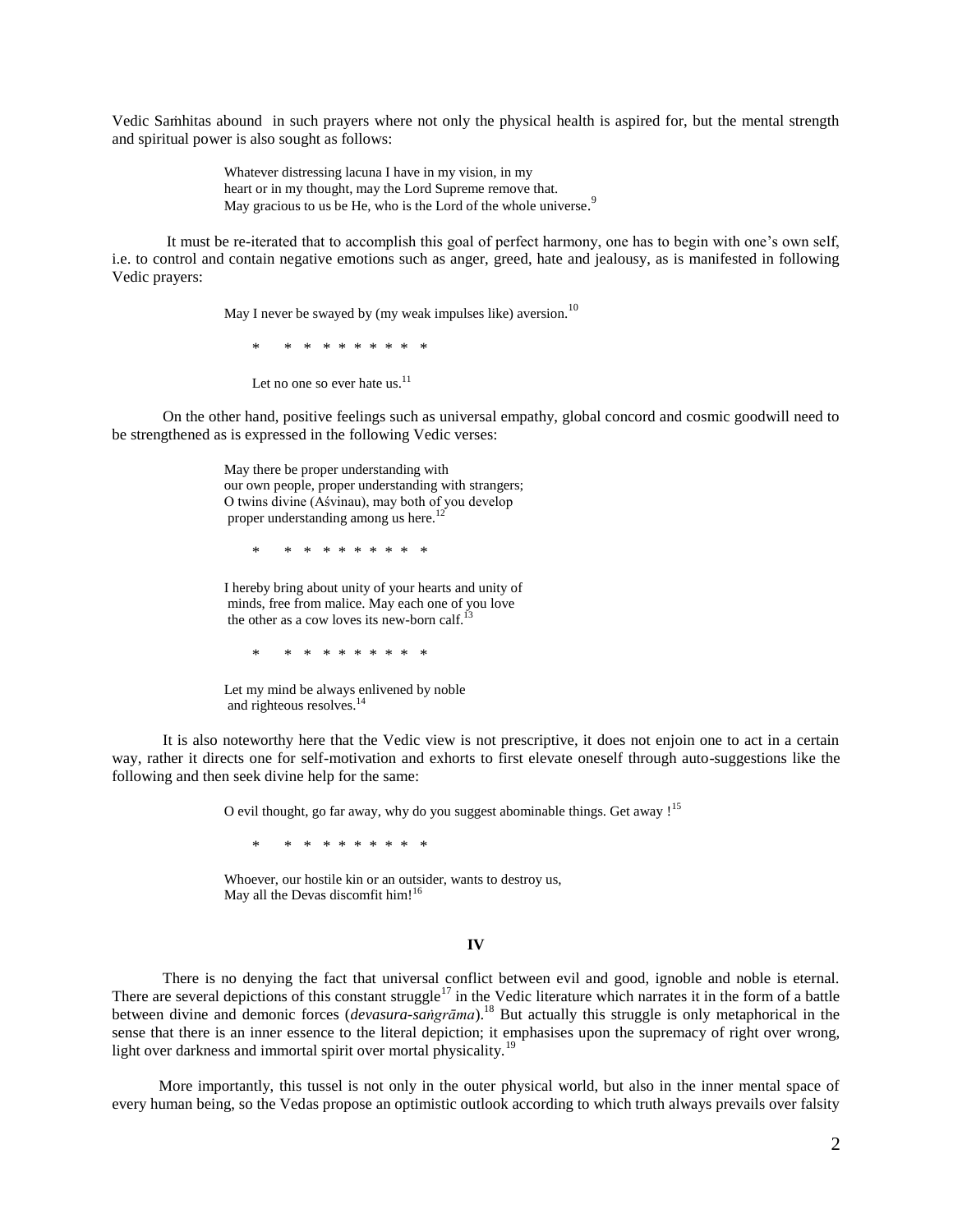Vedic Sahitas abound in such prayers where not only the physical health is aspired for, but the mental strength and spiritual power is also sought as follows:

> Whatever distressing lacuna I have in my vision, in my heart or in my thought, may the Lord Supreme remove that. May gracious to us be He, who is the Lord of the whole universe.<sup>9</sup>

 It must be re-iterated that to accomplish this goal of perfect harmony, one has to begin with one"s own self, i.e. to control and contain negative emotions such as anger, greed, hate and jealousy, as is manifested in following Vedic prayers:

May I never be swayed by (my weak impulses like) aversion.<sup>10</sup>

\* \* \* \* \* \* \* \* \* \*

Let no one so ever hate us.<sup>11</sup>

 On the other hand, positive feelings such as universal empathy, global concord and cosmic goodwill need to be strengthened as is expressed in the following Vedic verses:

> May there be proper understanding with our own people, proper understanding with strangers; O twins divine (Aśvinau), may both of you develop proper understanding among us here.<sup>12</sup>

\* \* \* \* \* \* \* \* \* \*

I hereby bring about unity of your hearts and unity of minds, free from malice. May each one of you love the other as a cow loves its new-born calf. $^{13}$ 

\* \* \* \* \* \* \* \* \* \*

Let my mind be always enlivened by noble and righteous resolves.<sup>14</sup>

 It is also noteworthy here that the Vedic view is not prescriptive, it does not enjoin one to act in a certain way, rather it directs one for self-motivation and exhorts to first elevate oneself through auto-suggestions like the following and then seek divine help for the same:

O evil thought, go far away, why do you suggest abominable things. Get away !<sup>15</sup>

\* \* \* \* \* \* \* \* \* \*

Whoever, our hostile kin or an outsider, wants to destroy us, May all the Devas discomfit him! $16$ 

#### **IV**

 There is no denying the fact that universal conflict between evil and good, ignoble and noble is eternal. There are several depictions of this constant struggle<sup>17</sup> in the Vedic literature which narrates it in the form of a battle between divine and demonic forces (*devasura-sagrāma*).<sup>18</sup> But actually this struggle is only metaphorical in the sense that there is an inner essence to the literal depiction; it emphasises upon the supremacy of right over wrong, light over darkness and immortal spirit over mortal physicality.<sup>19</sup>

 More importantly, this tussel is not only in the outer physical world, but also in the inner mental space of every human being, so the Vedas propose an optimistic outlook according to which truth always prevails over falsity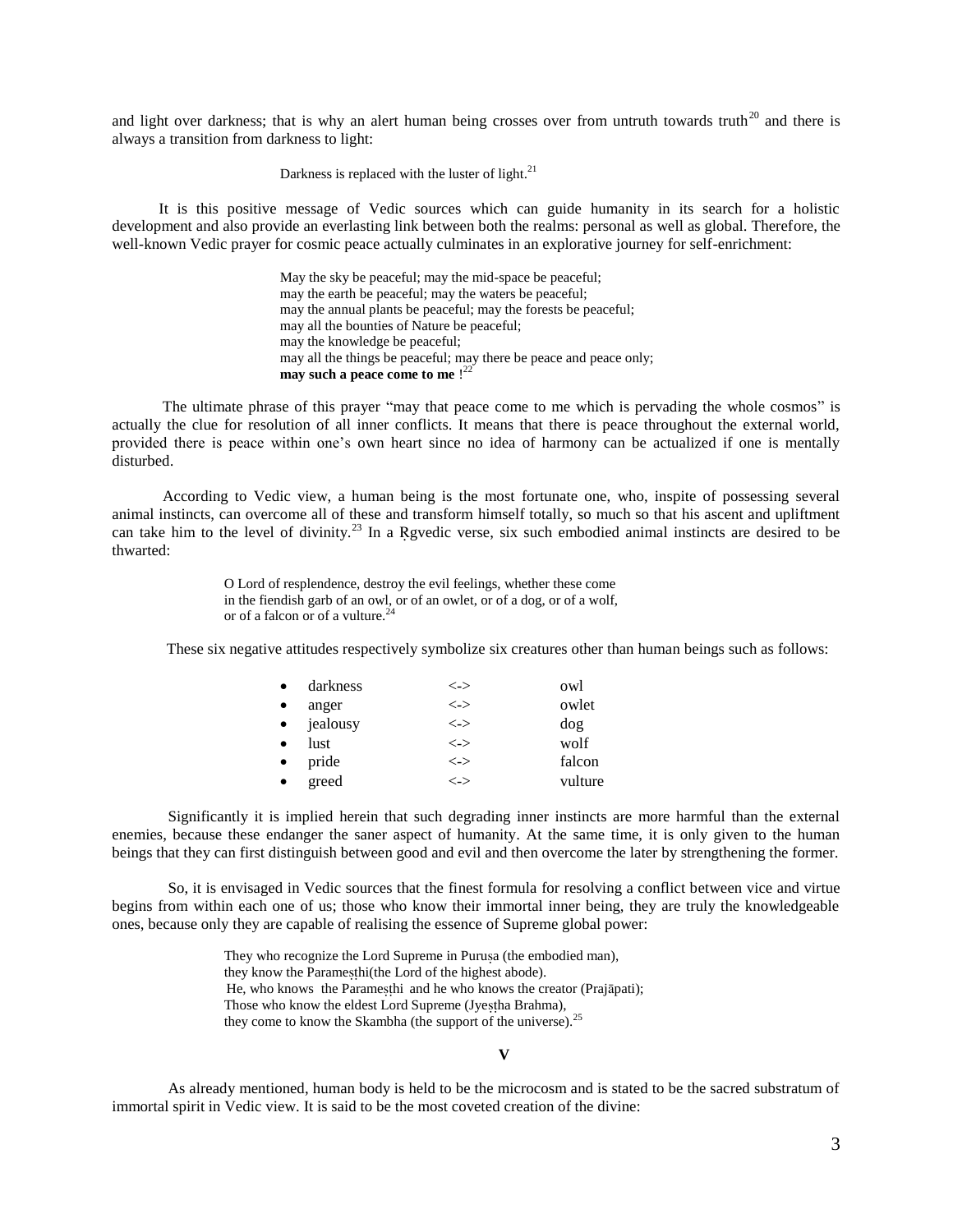and light over darkness; that is why an alert human being crosses over from untruth towards truth<sup>20</sup> and there is always a transition from darkness to light:

Darkness is replaced with the luster of light. $^{21}$ 

 It is this positive message of Vedic sources which can guide humanity in its search for a holistic development and also provide an everlasting link between both the realms: personal as well as global. Therefore, the well-known Vedic prayer for cosmic peace actually culminates in an explorative journey for self-enrichment:

> May the sky be peaceful; may the mid-space be peaceful; may the earth be peaceful; may the waters be peaceful; may the annual plants be peaceful; may the forests be peaceful; may all the bounties of Nature be peaceful; may the knowledge be peaceful; may all the things be peaceful; may there be peace and peace only; **may such a peace come to me** ! 22

 The ultimate phrase of this prayer "may that peace come to me which is pervading the whole cosmos" is actually the clue for resolution of all inner conflicts. It means that there is peace throughout the external world, provided there is peace within one"s own heart since no idea of harmony can be actualized if one is mentally disturbed.

 According to Vedic view, a human being is the most fortunate one, who, inspite of possessing several animal instincts, can overcome all of these and transform himself totally, so much so that his ascent and upliftment can take him to the level of divinity.<sup>23</sup> In a Rgvedic verse, six such embodied animal instincts are desired to be thwarted:

> O Lord of resplendence, destroy the evil feelings, whether these come in the fiendish garb of an owl, or of an owlet, or of a dog, or of a wolf, or of a falcon or of a vulture.<sup>24</sup>

These six negative attitudes respectively symbolize six creatures other than human beings such as follows:

| $\bullet$ | darkness   | <->                           | owl     |
|-----------|------------|-------------------------------|---------|
| $\bullet$ | anger      | $\left\langle -\right\rangle$ | owlet   |
|           | • jealousy | <->                           | dog     |
| $\bullet$ | lust       | $\left\langle -\right\rangle$ | wolf    |
| $\bullet$ | pride      | $\left\langle -\right\rangle$ | falcon  |
| $\bullet$ | greed      | $\lt$ ->                      | vulture |

Significantly it is implied herein that such degrading inner instincts are more harmful than the external enemies, because these endanger the saner aspect of humanity. At the same time, it is only given to the human beings that they can first distinguish between good and evil and then overcome the later by strengthening the former.

So, it is envisaged in Vedic sources that the finest formula for resolving a conflict between vice and virtue begins from within each one of us; those who know their immortal inner being, they are truly the knowledgeable ones, because only they are capable of realising the essence of Supreme global power:

> They who recognize the Lord Supreme in Purusa (the embodied man), they know the Paramesthi(the Lord of the highest abode). He, who knows the Paramesthi and he who knows the creator (Prajāpati); Those who know the eldest Lord Supreme (Jyestha Brahma), they come to know the Skambha (the support of the universe).<sup>25</sup>

#### **V**

As already mentioned, human body is held to be the microcosm and is stated to be the sacred substratum of immortal spirit in Vedic view. It is said to be the most coveted creation of the divine: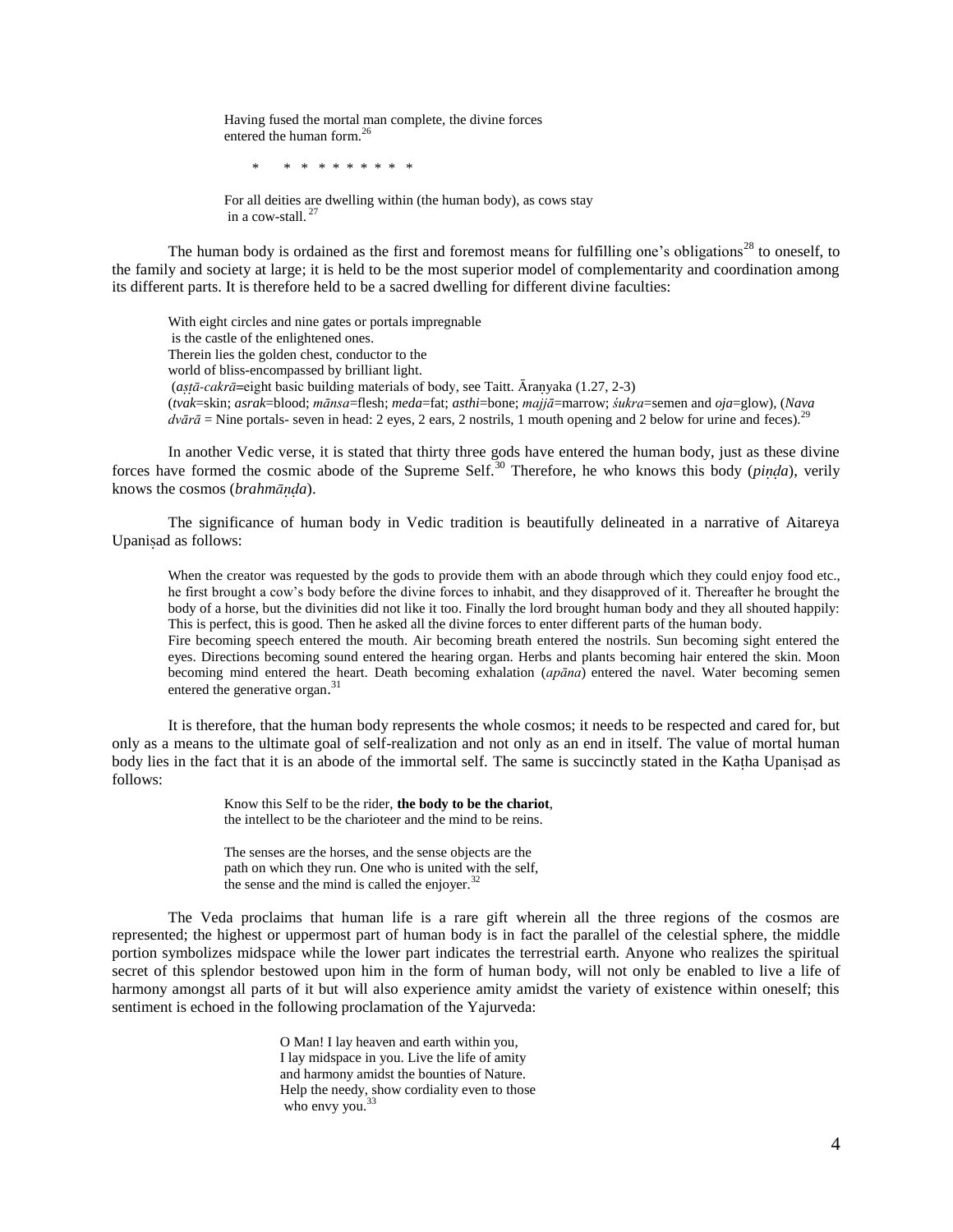Having fused the mortal man complete, the divine forces entered the human form.<sup>26</sup>

\* \* \* \* \* \* \* \* \* \*

For all deities are dwelling within (the human body), as cows stay in a cow-stall.<sup>27</sup>

The human body is ordained as the first and foremost means for fulfilling one's obligations<sup>28</sup> to oneself, to the family and society at large; it is held to be the most superior model of complementarity and coordination among its different parts. It is therefore held to be a sacred dwelling for different divine faculties:

With eight circles and nine gates or portals impregnable is the castle of the enlightened ones. Therein lies the golden chest, conductor to the world of bliss-encompassed by brilliant light.  $(astā-cakrā=$ eight basic building materials of body, see Taitt.  $\bar{A}$ ranyaka (1.27, 2-3) (*tvak*=skin; *asrak*=blood; *mānsa*=flesh; *meda*=fat; *asthi*=bone; *majjā*=marrow; *śukra*=semen and *oja*=glow), (*Nava*   $dv\bar{a}\bar{a}$  = Nine portals- seven in head: 2 eyes, 2 ears, 2 nostrils, 1 mouth opening and 2 below for urine and feces).<sup>2</sup>

In another Vedic verse, it is stated that thirty three gods have entered the human body, just as these divine forces have formed the cosmic abode of the Supreme Self.<sup>30</sup> Therefore, he who knows this body (*pia*), verily knows the cosmos (*brahma*).

The significance of human body in Vedic tradition is beautifully delineated in a narrative of Aitareya Upaniad as follows:

When the creator was requested by the gods to provide them with an abode through which they could enjoy food etc., he first brought a cow"s body before the divine forces to inhabit, and they disapproved of it. Thereafter he brought the body of a horse, but the divinities did not like it too. Finally the lord brought human body and they all shouted happily: This is perfect, this is good. Then he asked all the divine forces to enter different parts of the human body.

Fire becoming speech entered the mouth. Air becoming breath entered the nostrils. Sun becoming sight entered the eyes. Directions becoming sound entered the hearing organ. Herbs and plants becoming hair entered the skin. Moon becoming mind entered the heart. Death becoming exhalation (*apāna*) entered the navel. Water becoming semen entered the generative organ.<sup>31</sup>

It is therefore, that the human body represents the whole cosmos; it needs to be respected and cared for, but only as a means to the ultimate goal of self-realization and not only as an end in itself. The value of mortal human body lies in the fact that it is an abode of the immortal self. The same is succinctly stated in the Katha Upanisad as follows:

> Know this Self to be the rider, **the body to be the chariot**, the intellect to be the charioteer and the mind to be reins.

The senses are the horses, and the sense objects are the path on which they run. One who is united with the self, the sense and the mind is called the enjoyer. $32$ 

The Veda proclaims that human life is a rare gift wherein all the three regions of the cosmos are represented; the highest or uppermost part of human body is in fact the parallel of the celestial sphere, the middle portion symbolizes midspace while the lower part indicates the terrestrial earth. Anyone who realizes the spiritual secret of this splendor bestowed upon him in the form of human body, will not only be enabled to live a life of harmony amongst all parts of it but will also experience amity amidst the variety of existence within oneself; this sentiment is echoed in the following proclamation of the Yajurveda:

> O Man! I lay heaven and earth within you, I lay midspace in you. Live the life of amity and harmony amidst the bounties of Nature. Help the needy, show cordiality even to those who envy you. $33$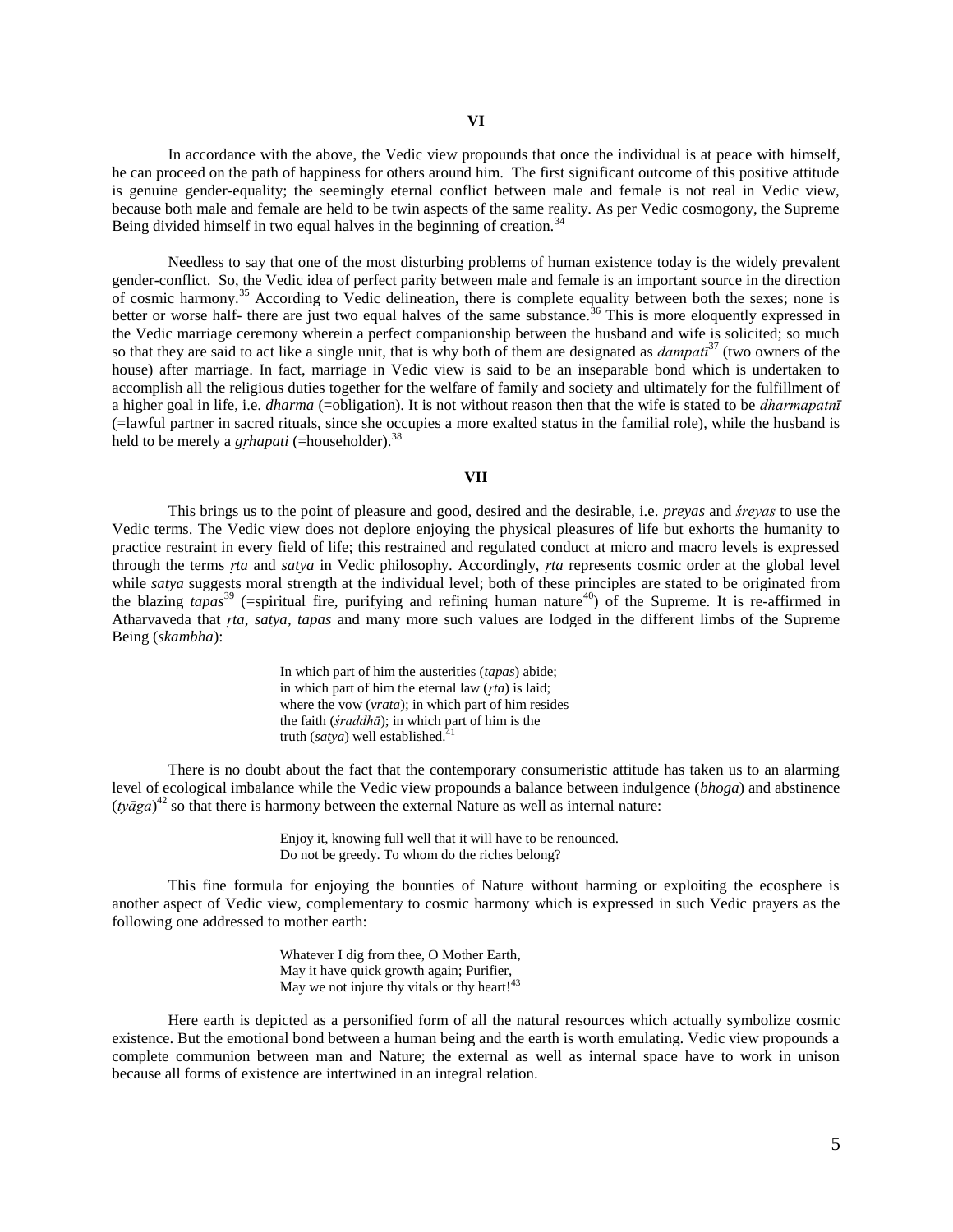In accordance with the above, the Vedic view propounds that once the individual is at peace with himself, he can proceed on the path of happiness for others around him. The first significant outcome of this positive attitude is genuine gender-equality; the seemingly eternal conflict between male and female is not real in Vedic view, because both male and female are held to be twin aspects of the same reality. As per Vedic cosmogony, the Supreme Being divided himself in two equal halves in the beginning of creation.<sup>34</sup>

Needless to say that one of the most disturbing problems of human existence today is the widely prevalent gender-conflict. So, the Vedic idea of perfect parity between male and female is an important source in the direction of cosmic harmony.<sup>35</sup> According to Vedic delineation, there is complete equality between both the sexes; none is better or worse half- there are just two equal halves of the same substance.<sup>36</sup> This is more eloquently expressed in the Vedic marriage ceremony wherein a perfect companionship between the husband and wife is solicited; so much so that they are said to act like a single unit, that is why both of them are designated as *dampatī*<sup>37</sup> (two owners of the house) after marriage. In fact, marriage in Vedic view is said to be an inseparable bond which is undertaken to accomplish all the religious duties together for the welfare of family and society and ultimately for the fulfillment of a higher goal in life, i.e. *dharma* (=obligation). It is not without reason then that the wife is stated to be *dharmapatnī* (=lawful partner in sacred rituals, since she occupies a more exalted status in the familial role), while the husband is held to be merely a *grhapati* (=householder).<sup>38</sup>

# **VII**

This brings us to the point of pleasure and good, desired and the desirable, i.e. *preyas* and *śreyas* to use the Vedic terms. The Vedic view does not deplore enjoying the physical pleasures of life but exhorts the humanity to practice restraint in every field of life; this restrained and regulated conduct at micro and macro levels is expressed through the terms *ta* and *satya* in Vedic philosophy. Accordingly, *ta* represents cosmic order at the global level while *satya* suggests moral strength at the individual level; both of these principles are stated to be originated from the blazing *tapas*<sup>39</sup> (=spiritual fire, purifying and refining human nature<sup>40</sup>) of the Supreme. It is re-affirmed in Atharvaveda that *ta*, *satya*, *tapas* and many more such values are lodged in the different limbs of the Supreme Being (*skambha*):

> In which part of him the austerities (*tapas*) abide; in which part of him the eternal law (*ta*) is laid; where the vow (*vrata*); in which part of him resides the faith (*śraddhā*); in which part of him is the truth  $(satya)$  well established.<sup>41</sup>

There is no doubt about the fact that the contemporary consumeristic attitude has taken us to an alarming level of ecological imbalance while the Vedic view propounds a balance between indulgence (*bhoga*) and abstinence  $(y \bar{q}g a)^{42}$  so that there is harmony between the external Nature as well as internal nature:

> Enjoy it, knowing full well that it will have to be renounced. Do not be greedy. To whom do the riches belong?

This fine formula for enjoying the bounties of Nature without harming or exploiting the ecosphere is another aspect of Vedic view, complementary to cosmic harmony which is expressed in such Vedic prayers as the following one addressed to mother earth:

> Whatever I dig from thee, O Mother Earth, May it have quick growth again; Purifier, May we not injure thy vitals or thy heart!<sup>43</sup>

Here earth is depicted as a personified form of all the natural resources which actually symbolize cosmic existence. But the emotional bond between a human being and the earth is worth emulating. Vedic view propounds a complete communion between man and Nature; the external as well as internal space have to work in unison because all forms of existence are intertwined in an integral relation.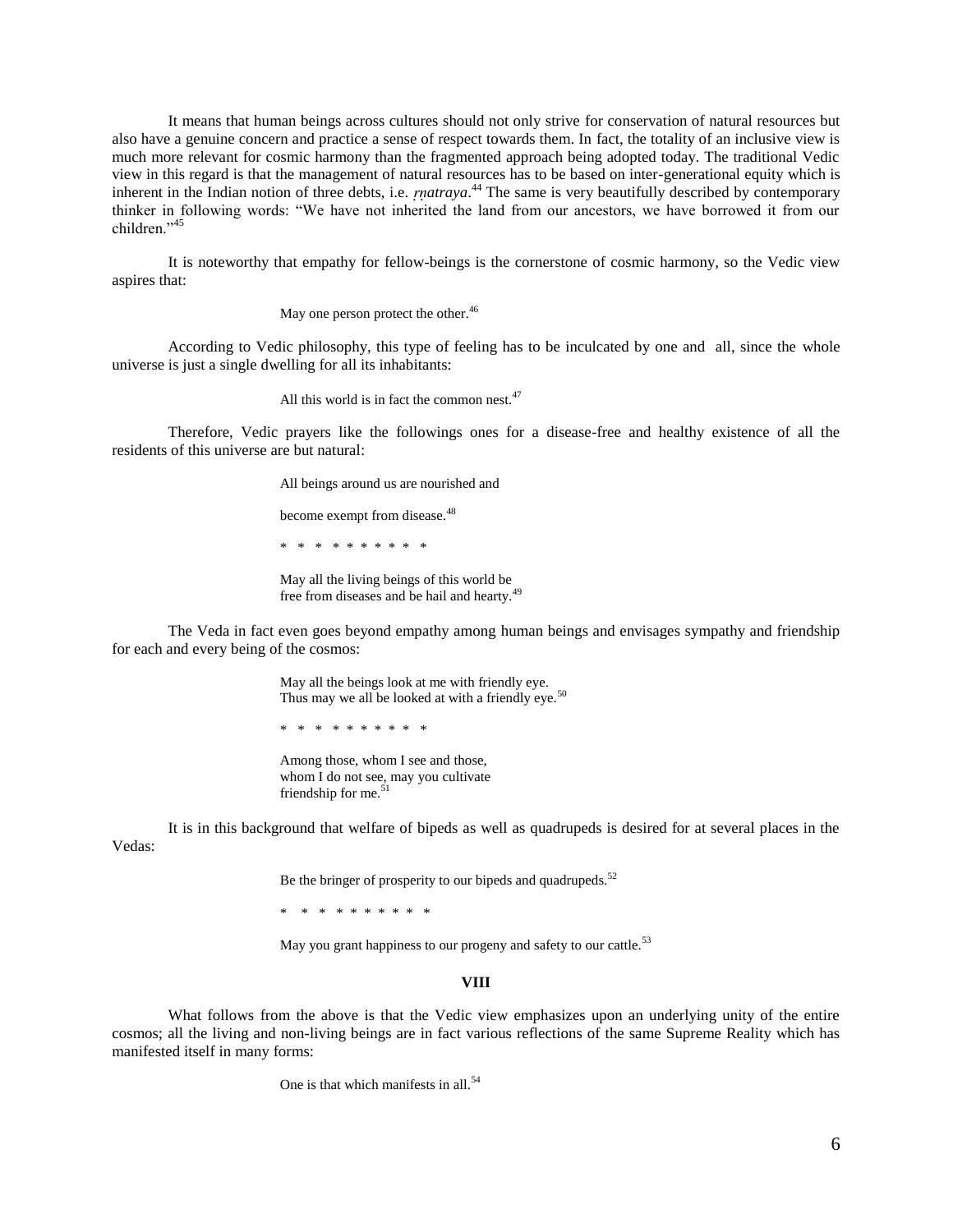It means that human beings across cultures should not only strive for conservation of natural resources but also have a genuine concern and practice a sense of respect towards them. In fact, the totality of an inclusive view is much more relevant for cosmic harmony than the fragmented approach being adopted today. The traditional Vedic view in this regard is that the management of natural resources has to be based on inter-generational equity which is inherent in the Indian notion of three debts, i.e. *matraya*.<sup>44</sup> The same is very beautifully described by contemporary thinker in following words: "We have not inherited the land from our ancestors, we have borrowed it from our children<sup>"45</sup>

It is noteworthy that empathy for fellow-beings is the cornerstone of cosmic harmony, so the Vedic view aspires that:

May one person protect the other.<sup>46</sup>

According to Vedic philosophy, this type of feeling has to be inculcated by one and all, since the whole universe is just a single dwelling for all its inhabitants:

All this world is in fact the common nest. $47$ 

Therefore, Vedic prayers like the followings ones for a disease-free and healthy existence of all the residents of this universe are but natural:

> All beings around us are nourished and become exempt from disease.<sup>48</sup>

\* \* \* \* \* \* \* \* \* \*

May all the living beings of this world be free from diseases and be hail and hearty.<sup>49</sup>

The Veda in fact even goes beyond empathy among human beings and envisages sympathy and friendship for each and every being of the cosmos:

> May all the beings look at me with friendly eye. Thus may we all be looked at with a friendly eye.<sup>50</sup>

\* \* \* \* \* \* \* \* \* \*

Among those, whom I see and those, whom I do not see, may you cultivate friendship for me.<sup>51</sup>

It is in this background that welfare of bipeds as well as quadrupeds is desired for at several places in the Vedas:

Be the bringer of prosperity to our bipeds and quadrupeds. $52$ 

\* \* \* \* \* \* \* \* \* \*

May you grant happiness to our progeny and safety to our cattle.<sup>53</sup>

#### **VIII**

What follows from the above is that the Vedic view emphasizes upon an underlying unity of the entire cosmos; all the living and non-living beings are in fact various reflections of the same Supreme Reality which has manifested itself in many forms:

One is that which manifests in all.<sup>54</sup>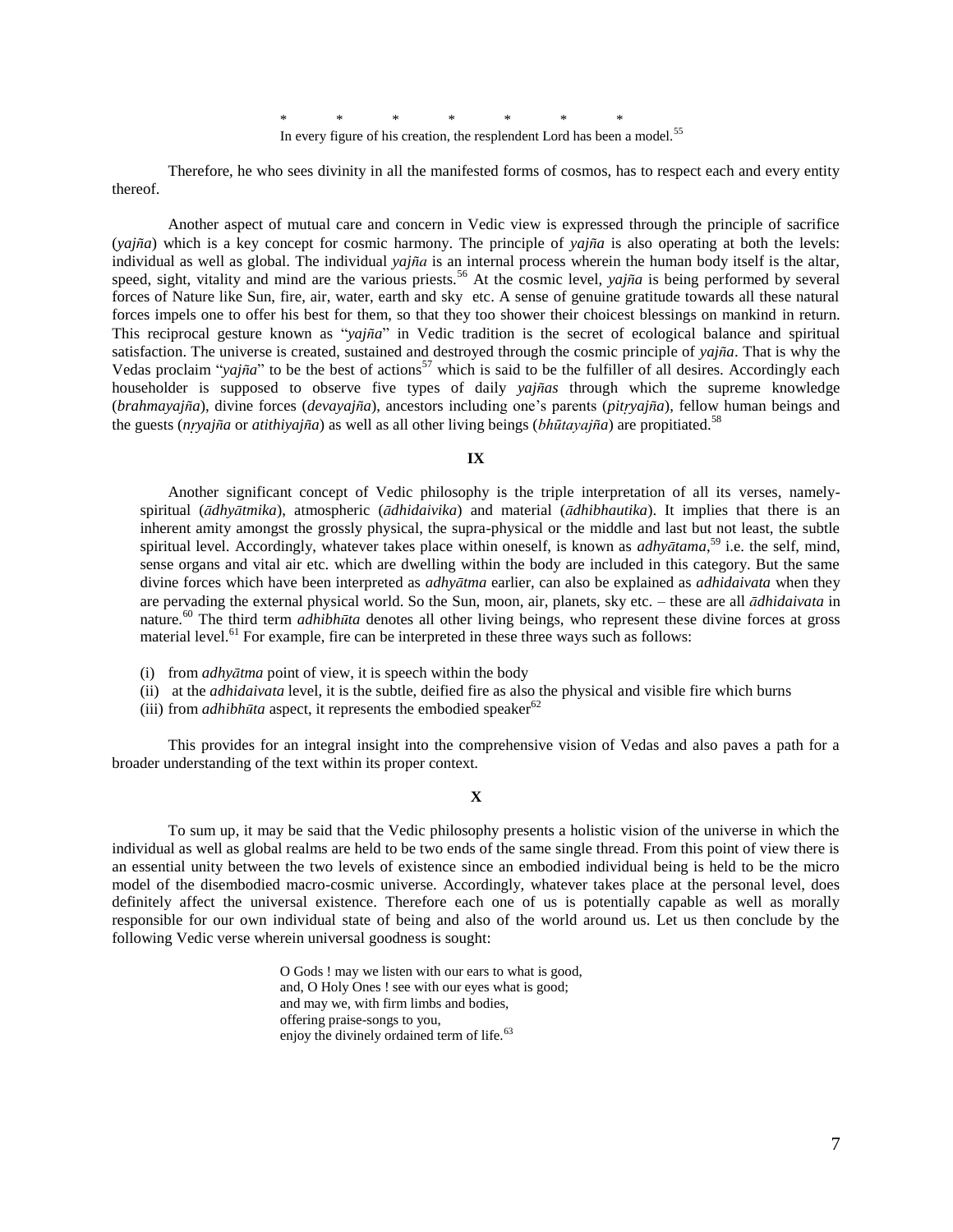\* \* \* \* \* \* \* In every figure of his creation, the resplendent Lord has been a model.<sup>55</sup>

Therefore, he who sees divinity in all the manifested forms of cosmos, has to respect each and every entity thereof.

Another aspect of mutual care and concern in Vedic view is expressed through the principle of sacrifice (*yaja*) which is a key concept for cosmic harmony. The principle of *yaja* is also operating at both the levels: individual as well as global. The individual  $yajña$  is an internal process wherein the human body itself is the altar, speed, sight, vitality and mind are the various priests.<sup>56</sup> At the cosmic level, *yajña* is being performed by several forces of Nature like Sun, fire, air, water, earth and sky etc. A sense of genuine gratitude towards all these natural forces impels one to offer his best for them, so that they too shower their choicest blessings on mankind in return. This reciprocal gesture known as "*yaja*" in Vedic tradition is the secret of ecological balance and spiritual satisfaction. The universe is created, sustained and destroyed through the cosmic principle of *yaja*. That is why the Vedas proclaim "*yajña*" to be the best of actions<sup>57</sup> which is said to be the fulfiller of all desires. Accordingly each householder is supposed to observe five types of daily *yajas* through which the supreme knowledge (*brahmayaja*), divine forces (*devayaja*), ancestors including one"s parents (*pityaja*), fellow human beings and the guests (*nryajña* or *atithiyajña*) as well as all other living beings (*bhūtayajña*) are propitiated.<sup>58</sup>

**IX**

Another significant concept of Vedic philosophy is the triple interpretation of all its verses, namelyspiritual (*dhytmika*), atmospheric (*dhidaivika*) and material (*dhibhautika*). It implies that there is an inherent amity amongst the grossly physical, the supra-physical or the middle and last but not least, the subtle spiritual level. Accordingly, whatever takes place within oneself, is known as *adhytama*, <sup>59</sup> i.e. the self, mind, sense organs and vital air etc. which are dwelling within the body are included in this category. But the same divine forces which have been interpreted as *adhytma* earlier, can also be explained as *adhidaivata* when they are pervading the external physical world. So the Sun, moon, air, planets, sky etc. – these are all *dhidaivata* in nature.<sup>60</sup> The third term *adhibhta* denotes all other living beings, who represent these divine forces at gross material level.<sup>61</sup> For example, fire can be interpreted in these three ways such as follows:

- (i) from *adhytma* point of view, it is speech within the body
- (ii) at the *adhidaivata* level, it is the subtle, deified fire as also the physical and visible fire which burns
- (iii) from *adhibhūta* aspect, it represents the embodied speaker<sup>62</sup>

This provides for an integral insight into the comprehensive vision of Vedas and also paves a path for a broader understanding of the text within its proper context.

# **X**

To sum up, it may be said that the Vedic philosophy presents a holistic vision of the universe in which the individual as well as global realms are held to be two ends of the same single thread. From this point of view there is an essential unity between the two levels of existence since an embodied individual being is held to be the micro model of the disembodied macro-cosmic universe. Accordingly, whatever takes place at the personal level, does definitely affect the universal existence. Therefore each one of us is potentially capable as well as morally responsible for our own individual state of being and also of the world around us. Let us then conclude by the following Vedic verse wherein universal goodness is sought:

> O Gods ! may we listen with our ears to what is good, and, O Holy Ones ! see with our eyes what is good; and may we, with firm limbs and bodies, offering praise-songs to you, enjoy the divinely ordained term of life.<sup>63</sup>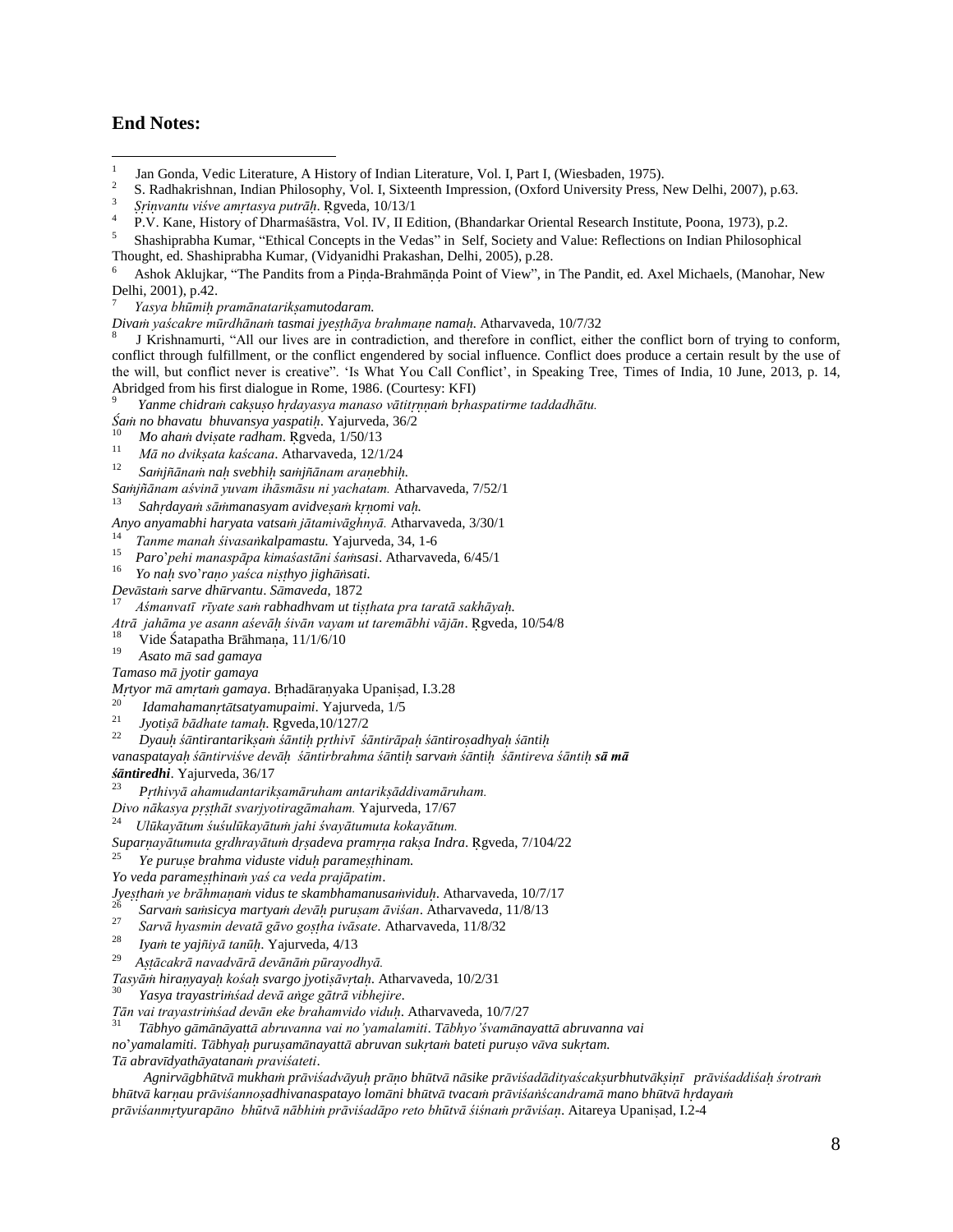# **End Notes:**

 $\overline{a}$ 

6 Ashok Aklujkar, "The Pandits from a Pinda-Brahmānda Point of View", in The Pandit, ed. Axel Michaels, (Manohar, New Delhi, 2001), p.42.

7 *Yasya bhūmi pramānatarikmutodaram.*

*Diva yaścakre mūrdhāna tasmai jyehāya brahmae nama.* Atharvaveda, 10/7/32

8 J Krishnamurti, "All our lives are in contradiction, and therefore in conflict, either the conflict born of trying to conform, conflict through fulfillment, or the conflict engendered by social influence. Conflict does produce a certain result by the use of the will, but conflict never is creative". "Is What You Call Conflict", in Speaking Tree, Times of India, 10 June, 2013, p. 14, Abridged from his first dialogue in Rome, 1986. (Courtesy: KFI)<br>Pray a chidrary asksuse hydrogens manage vātitumari hybe

*Yanme chidra cakuo hdayasya manaso vātita bhaspatirme taddadhātu.*

*a no bhavatu bhuvansya yaspati*. Yajurveda, 36/2 10

 *Mo aha dviate radham*. gveda, 1/50/13 11

- *Mā no dvikata kaścana*. Atharvaveda, 12/1/24
- 12 *Sajāna na svebhi sajānam araebhi.*
- *Sajñānam aśvinā yuvam ihāsmāsu ni yachatam.* Atharvaveda, 7/52/1

13 *Sahdaya sāmanasyam avidvea komi va.*

*Anyo anyamabhi haryata vatsa jātamivāghnyā.* Atharvaveda, 3/30/1

14 *Tanme manah śivasakalpamastu.* Yajurveda, 34, 1-6

15 *Paro*"*pehi manaspāpa kimaśastāni śasasi*. Atharvaveda, 6/45/1

16 *Yo na svo*"*rao yaśca nihyo jighsati.*

- *Devsta sarve dhrvantu*. *Smaveda*, 1872
- 17 *Aśmanvatī rīyate sa rabhadhvam ut tihata pra taratā sakhāya.*

*Atrā jahāma ye asann aśevā śivān vayam ut taremābhi vājān*. gveda, 10/54/8

18 Vide Śatapatha Brāhmaņa, 11/1/6/10

19 *Asato m sad gamaya* 

*Tamaso m jyotir gamaya* 

*Mrtyor mā amrtam gamaya.* Brhadāranyaka Upanisad, I.3.28

- 20 *Idamahamanttsatyamupaimi*. Yajurveda, 1/5 21
- $Jvotis\bar{a}$  bādhate tamah. Rgveda,10/127/2 22

*Dyau śntirantarika śānti pthivī śāntirāpa śntiroadhya śnti*

*vanaspataya śntirviśve dev śntirbrahma śnti sarva śnti śāntireva śānti sā mā* 

*śntiredhi*. Yajurveda, 36/17

23  *Pthivyā ahamudantarikamāruham antarikāddivamāruham.*

*Divo nākasya phāt svarjyotiragāmaham.* Yajurveda, 17/67

[ 24 *Ulūkayātum śuśulūkayātu jahi śvayātumuta kokayātum.*

*Suparayātumuta gdhrayātu dadeva prama raka Indra*. gveda, 7/104/22

25 *Ye purue brahma viduste vidu paramehinam.*

*Yo veda paramehina yaś ca veda prajāpatim*.

*Jyeha ye brāhmaa vidus te skambhamanusavidu*. Atharvaveda, 10/7/17

26 *Sarva sasicya martya devā puruam āviśan*. Atharvaved*a*, 11/8/13 27

*Sarvā hyasmin devatā gāvo goha ivāsate*. Atharvaveda, 11/8/32

- 28 *Iya te yajiyā tanū*. Yajurveda, 4/13
- 29 *Aācakrā navadvārā devānā pūrayodhyā.*

*Tasyā hirayaya kośa svargo jyotiāvta*. Atharvaveda, 10/2/31

30 *Yasya trayastriśad devā age gātrā vibhejire*.

*Tān vai trayastriśad devān eke brahamvido vidu*. Atharvaveda, 10/7/27

31 *Tbhyo gmnyatt abruvanna vai no'yamalamiti*. *Tbhyo'śvamnayatt abruvanna vai* 

*no*"*yamalamiti. Tbhya puruamnayatt abruvan sukta bateti puruo vva suktam. T abravdyathyatana praviśateti*.

Agnirvāgbhūtvā mukham prāviśadvāyuh prāno bhūtvā nāsike prāviśadādityaścaksurbhutvāksinī prāviśaddiśah śrotram *bhtv karau prviśannoadhivanaspatayo lomni bhtv tvaca prviśaścandram mano bhtv hdaya prviśanmtyurapno bhūtvā nābhi prāviśadāpo reto bhūtvā śiśna prāviśa*. Aitareya Upaniad, I.2-4

<sup>1</sup> Jan Gonda, Vedic Literature, A History of Indian Literature, Vol. I, Part I, (Wiesbaden, 1975). 2

S. Radhakrishnan, Indian Philosophy, Vol. I, Sixteenth Impression, (Oxford University Press, New Delhi, 2007), p.63. 3

*ivantu viśve amtasya putrā*. gveda, 10/13/1 4

P.V. Kane, History of Dharmaśāstra, Vol. IV, II Edition, (Bhandarkar Oriental Research Institute, Poona, 1973), p.2.

<sup>5</sup> Shashiprabha Kumar, "Ethical Concepts in the Vedas" in Self, Society and Value: Reflections on Indian Philosophical Thought, ed. Shashiprabha Kumar, (Vidyanidhi Prakashan, Delhi, 2005), p.28.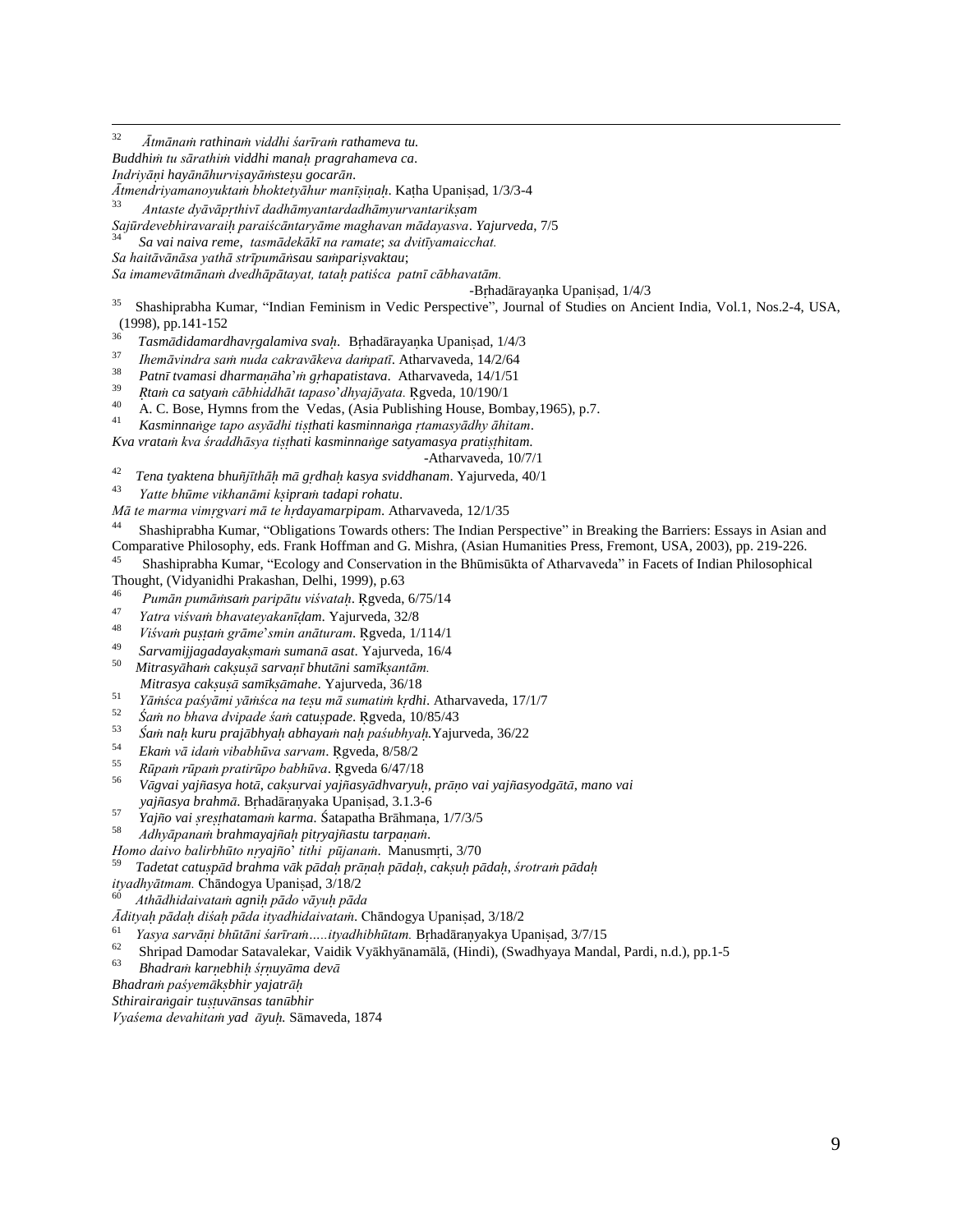<sup>32</sup> *Ātmāna rathina viddhi śarīra rathameva tu.*

*Buddhi tu sārathi viddhi mana pragrahameva ca*.

*Indriyāi hayānāhurviayāsteu gocarān*.

*Ātmendriyamanoyukta bhoktetyāhur mania*. Kaha Upaniad, 1/3/3-4

33 *Antaste dyāvāpthivī dadhāmyantardadhāmyurvantarikam*

*Sajūrdevebhiravarai paraiścāntaryāme maghavan mādayasva*. *Yajurveda*, 7/5

34  *Sa vai naiva reme*, *tasmādekākī na ramate*; *sa dvitīyamaicchat.*

*Sa haitāvānāsa yathā strīpumāsau saparivaktau*;

*Sa imamevātmāna dvedhāpātayat, tata patiśca patnī cābhavatām.* 

-Brhadārayanka Upanisad, 1/4/3

35 Shashiprabha Kumar, "Indian Feminism in Vedic Perspective", Journal of Studies on Ancient India, Vol.1, Nos.2-4, USA,  $(1998)$ , pp.141-152

<sup>36</sup> *Tasmdidamardhavgalamiva sva*. Bhadrayaka Upaniad, 1/4/3

37 *Ihemāvindra sa nuda cakravākeva dapatī*. Atharvaveda, 14/2/64

38 *Patn tvamasi dharmaha*" *ghapatistava*. Atharvaveda, 14/1/51 39

*ta ca satya cābhiddhāt tapaso*"*dhyajāyata.* gveda, 10/190/1

40 A. C. Bose, Hymns from the Vedas, (Asia Publishing House, Bombay,1965), p.7.

41 *Kasminnage tapo asyādhi tihati kasminnaga tamasyādhy āhitam*.

*Kva vrata kva śraddhāsya tihati kasminnage satyamasya pratihitam*.

-Atharvaveda, 10/7/1

42 *Tena tyaktena bhujīthā m gdha kasya sviddhanam*. Yajurveda, 40/1

43 *Yatte bhūme vikhanāmi kipra tadapi rohatu*.

*Mā te marma vimgvari mā te hdayamarpipam*. Atharvaveda, 12/1/35

44 Shashiprabha Kumar, "Obligations Towards others: The Indian Perspective" in Breaking the Barriers: Essays in Asian and Comparative Philosophy, eds. Frank Hoffman and G. Mishra, (Asian Humanities Press, Fremont, USA, 2003), pp. 219-226.

45 Shashiprabha Kumar, "Ecology and Conservation in the Bhūmisūkta of Atharvaveda" in Facets of Indian Philosophical Thought, (Vidyanidhi Prakashan, Delhi, 1999), p.63

46 *Pumān pumāsa paripātu viśvata*. gveda, 6/75/14

47 *Yatra viśva bhavateyakanīam*. Yajurveda, 32/8

48 *Viśva pua grāme*"*smin anāturam*. gveda, 1/114/1

[ 49 *Sarvamijjagadayakma suman asat*. Yajurveda, 16/4

50 *Mitrasyha caku sarva bhutni samkantām. Mitrasya caku samkmahe*. Yajurveda, 36/18

51 *Yāśca paśyāmi yāśca na teu mā sumati kdhi*. Atharvaveda, 17/1/7

52 *Śa no bhava dvipade śa catupade*. gveda, 10/85/43 53

*a na kuru prajbhya abhaya na paśubhya.*Yajurveda, 36/22

54 *Eka vā ida vibabhūva sarvam*. gveda, 8/58/2

55 *Rūpa rūpa pratirūpo babhūva*. gveda 6/47/18

56 *Vgvai yajasya hot*, *cakurvai yajasydhvaryu*, *pro vai yajasyodgt*, *mano vai*  yajñasya brahmā. Brhadāranyaka Upanisad, 3.1.3-6

57 *Yajño vai sresthatamam karma.* Śatapatha Brāhmana, 1/7/3/5

58 *Adhyāpana brahmayaja pityajastu tarpaa*.

*Homo daivo balirbhūto nyajo*" *tithi pūjana*. Manusmti, 3/70

59 *Tadetat catupd brahma vk pda pra pda*, *caku pda*, *śrotra pda*

*ityadhyātmam.* Chāndogya Upaniad, 3/18/2 60

*Athādhidaivata agni pādo vāyu pāda*

*Āditya pāda diśa pāda ityadhidaivata*. Chāndogya Upaniad, 3/18/2

61 *Yasya sarvāi bhūtāni śarīra…..ityadhibhūtam.* Bhadārayakya Upaniad, 3/7/15 62

Shripad Damodar Satavalekar, Vaidik Vyākhyānamālā, (Hindi), (Swadhyaya Mandal, Pardi, n.d.), pp.1-5 63

*Bhadra karebhi śuyma dev*

*Bhadra paśyemkbhir yajatr*

*Sthirairagair tuuvnsas tanbhir*

*Vyaśema devahita yad yu.* Smaveda, 1874